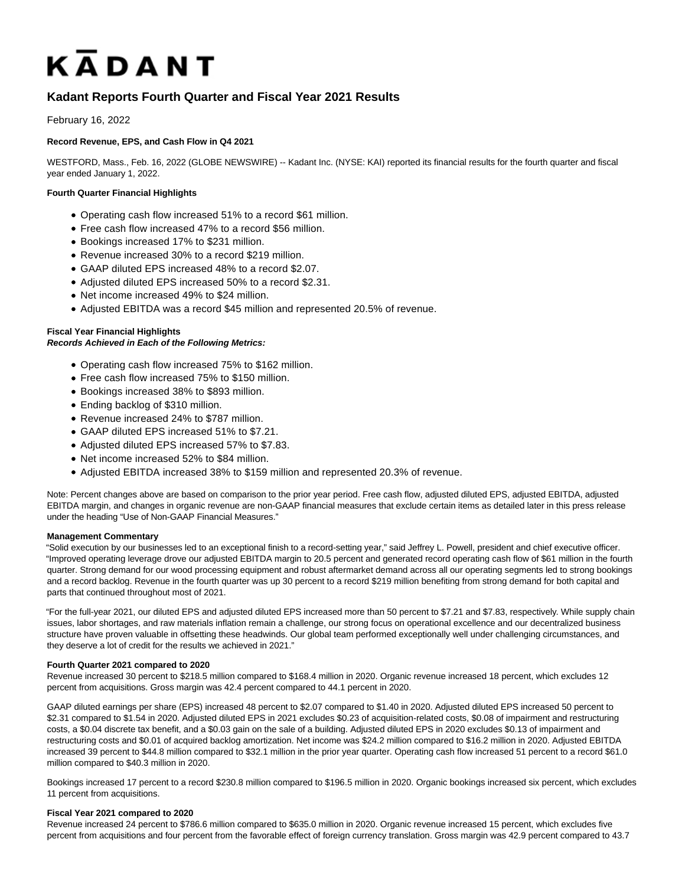# KADANT

# **Kadant Reports Fourth Quarter and Fiscal Year 2021 Results**

February 16, 2022

# **Record Revenue, EPS, and Cash Flow in Q4 2021**

WESTFORD, Mass., Feb. 16, 2022 (GLOBE NEWSWIRE) -- Kadant Inc. (NYSE: KAI) reported its financial results for the fourth quarter and fiscal year ended January 1, 2022.

# **Fourth Quarter Financial Highlights**

- Operating cash flow increased 51% to a record \$61 million.
- Free cash flow increased 47% to a record \$56 million.
- Bookings increased 17% to \$231 million.
- Revenue increased 30% to a record \$219 million.
- GAAP diluted EPS increased 48% to a record \$2.07.
- Adjusted diluted EPS increased 50% to a record \$2.31.
- Net income increased 49% to \$24 million.
- Adjusted EBITDA was a record \$45 million and represented 20.5% of revenue.

# **Fiscal Year Financial Highlights**

# **Records Achieved in Each of the Following Metrics:**

- Operating cash flow increased 75% to \$162 million.
- Free cash flow increased 75% to \$150 million.
- Bookings increased 38% to \$893 million.
- Ending backlog of \$310 million.
- Revenue increased 24% to \$787 million.
- GAAP diluted EPS increased 51% to \$7.21.
- Adjusted diluted EPS increased 57% to \$7.83.
- Net income increased 52% to \$84 million.
- Adjusted EBITDA increased 38% to \$159 million and represented 20.3% of revenue.

Note: Percent changes above are based on comparison to the prior year period. Free cash flow, adjusted diluted EPS, adjusted EBITDA, adjusted EBITDA margin, and changes in organic revenue are non-GAAP financial measures that exclude certain items as detailed later in this press release under the heading "Use of Non-GAAP Financial Measures."

#### **Management Commentary**

"Solid execution by our businesses led to an exceptional finish to a record-setting year," said Jeffrey L. Powell, president and chief executive officer. "Improved operating leverage drove our adjusted EBITDA margin to 20.5 percent and generated record operating cash flow of \$61 million in the fourth quarter. Strong demand for our wood processing equipment and robust aftermarket demand across all our operating segments led to strong bookings and a record backlog. Revenue in the fourth quarter was up 30 percent to a record \$219 million benefiting from strong demand for both capital and parts that continued throughout most of 2021.

"For the full-year 2021, our diluted EPS and adjusted diluted EPS increased more than 50 percent to \$7.21 and \$7.83, respectively. While supply chain issues, labor shortages, and raw materials inflation remain a challenge, our strong focus on operational excellence and our decentralized business structure have proven valuable in offsetting these headwinds. Our global team performed exceptionally well under challenging circumstances, and they deserve a lot of credit for the results we achieved in 2021."

#### **Fourth Quarter 2021 compared to 2020**

Revenue increased 30 percent to \$218.5 million compared to \$168.4 million in 2020. Organic revenue increased 18 percent, which excludes 12 percent from acquisitions. Gross margin was 42.4 percent compared to 44.1 percent in 2020.

GAAP diluted earnings per share (EPS) increased 48 percent to \$2.07 compared to \$1.40 in 2020. Adjusted diluted EPS increased 50 percent to \$2.31 compared to \$1.54 in 2020. Adjusted diluted EPS in 2021 excludes \$0.23 of acquisition-related costs, \$0.08 of impairment and restructuring costs, a \$0.04 discrete tax benefit, and a \$0.03 gain on the sale of a building. Adjusted diluted EPS in 2020 excludes \$0.13 of impairment and restructuring costs and \$0.01 of acquired backlog amortization. Net income was \$24.2 million compared to \$16.2 million in 2020. Adjusted EBITDA increased 39 percent to \$44.8 million compared to \$32.1 million in the prior year quarter. Operating cash flow increased 51 percent to a record \$61.0 million compared to \$40.3 million in 2020.

Bookings increased 17 percent to a record \$230.8 million compared to \$196.5 million in 2020. Organic bookings increased six percent, which excludes 11 percent from acquisitions.

#### **Fiscal Year 2021 compared to 2020**

Revenue increased 24 percent to \$786.6 million compared to \$635.0 million in 2020. Organic revenue increased 15 percent, which excludes five percent from acquisitions and four percent from the favorable effect of foreign currency translation. Gross margin was 42.9 percent compared to 43.7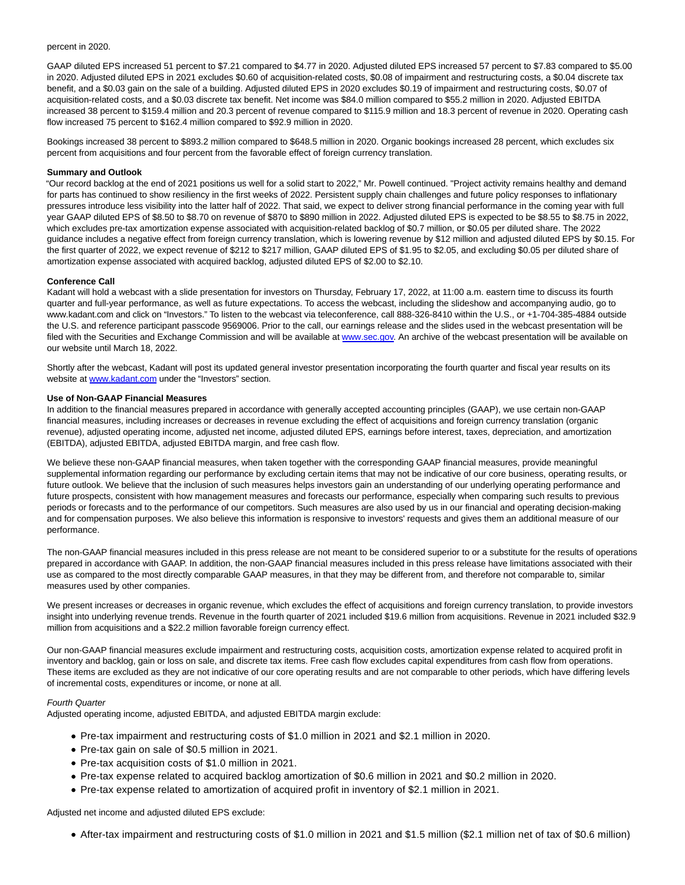#### percent in 2020.

GAAP diluted EPS increased 51 percent to \$7.21 compared to \$4.77 in 2020. Adjusted diluted EPS increased 57 percent to \$7.83 compared to \$5.00 in 2020. Adjusted diluted EPS in 2021 excludes \$0.60 of acquisition-related costs, \$0.08 of impairment and restructuring costs, a \$0.04 discrete tax benefit, and a \$0.03 gain on the sale of a building. Adjusted diluted EPS in 2020 excludes \$0.19 of impairment and restructuring costs, \$0.07 of acquisition-related costs, and a \$0.03 discrete tax benefit. Net income was \$84.0 million compared to \$55.2 million in 2020. Adjusted EBITDA increased 38 percent to \$159.4 million and 20.3 percent of revenue compared to \$115.9 million and 18.3 percent of revenue in 2020. Operating cash flow increased 75 percent to \$162.4 million compared to \$92.9 million in 2020.

Bookings increased 38 percent to \$893.2 million compared to \$648.5 million in 2020. Organic bookings increased 28 percent, which excludes six percent from acquisitions and four percent from the favorable effect of foreign currency translation.

#### **Summary and Outlook**

"Our record backlog at the end of 2021 positions us well for a solid start to 2022," Mr. Powell continued. "Project activity remains healthy and demand for parts has continued to show resiliency in the first weeks of 2022. Persistent supply chain challenges and future policy responses to inflationary pressures introduce less visibility into the latter half of 2022. That said, we expect to deliver strong financial performance in the coming year with full year GAAP diluted EPS of \$8.50 to \$8.70 on revenue of \$870 to \$890 million in 2022. Adjusted diluted EPS is expected to be \$8.55 to \$8.75 in 2022, which excludes pre-tax amortization expense associated with acquisition-related backlog of \$0.7 million, or \$0.05 per diluted share. The 2022 guidance includes a negative effect from foreign currency translation, which is lowering revenue by \$12 million and adjusted diluted EPS by \$0.15. For the first quarter of 2022, we expect revenue of \$212 to \$217 million, GAAP diluted EPS of \$1.95 to \$2.05, and excluding \$0.05 per diluted share of amortization expense associated with acquired backlog, adjusted diluted EPS of \$2.00 to \$2.10.

#### **Conference Call**

Kadant will hold a webcast with a slide presentation for investors on Thursday, February 17, 2022, at 11:00 a.m. eastern time to discuss its fourth quarter and full-year performance, as well as future expectations. To access the webcast, including the slideshow and accompanying audio, go to www.kadant.com and click on "Investors." To listen to the webcast via teleconference, call 888-326-8410 within the U.S., or +1-704-385-4884 outside the U.S. and reference participant passcode 9569006. Prior to the call, our earnings release and the slides used in the webcast presentation will be filed with the Securities and Exchange Commission and will be available at [www.sec.gov.](https://www.globenewswire.com/Tracker?data=7qQvfN3d2Ic39zIuSIK39TcqPBNDiPqxc3uVrayO_EnUHP0VL1bw5UKxui0h3umS2PuBIuTr-nezYiMkz4VsEA==) An archive of the webcast presentation will be available on our website until March 18, 2022.

Shortly after the webcast, Kadant will post its updated general investor presentation incorporating the fourth quarter and fiscal year results on its website at [www.kadant.com u](https://www.globenewswire.com/Tracker?data=opuOK0T9En-QnXPZQYIyWNwI3_CWappJamTN9zEXNGaNPoE78a7wHR36td855546JwIeG-96r9TklRBbLDJG0Q==)nder the "Investors" section.

#### **Use of Non-GAAP Financial Measures**

In addition to the financial measures prepared in accordance with generally accepted accounting principles (GAAP), we use certain non-GAAP financial measures, including increases or decreases in revenue excluding the effect of acquisitions and foreign currency translation (organic revenue), adjusted operating income, adjusted net income, adjusted diluted EPS, earnings before interest, taxes, depreciation, and amortization (EBITDA), adjusted EBITDA, adjusted EBITDA margin, and free cash flow.

We believe these non-GAAP financial measures, when taken together with the corresponding GAAP financial measures, provide meaningful supplemental information regarding our performance by excluding certain items that may not be indicative of our core business, operating results, or future outlook. We believe that the inclusion of such measures helps investors gain an understanding of our underlying operating performance and future prospects, consistent with how management measures and forecasts our performance, especially when comparing such results to previous periods or forecasts and to the performance of our competitors. Such measures are also used by us in our financial and operating decision-making and for compensation purposes. We also believe this information is responsive to investors' requests and gives them an additional measure of our performance.

The non-GAAP financial measures included in this press release are not meant to be considered superior to or a substitute for the results of operations prepared in accordance with GAAP. In addition, the non-GAAP financial measures included in this press release have limitations associated with their use as compared to the most directly comparable GAAP measures, in that they may be different from, and therefore not comparable to, similar measures used by other companies.

We present increases or decreases in organic revenue, which excludes the effect of acquisitions and foreign currency translation, to provide investors insight into underlying revenue trends. Revenue in the fourth quarter of 2021 included \$19.6 million from acquisitions. Revenue in 2021 included \$32.9 million from acquisitions and a \$22.2 million favorable foreign currency effect.

Our non-GAAP financial measures exclude impairment and restructuring costs, acquisition costs, amortization expense related to acquired profit in inventory and backlog, gain or loss on sale, and discrete tax items. Free cash flow excludes capital expenditures from cash flow from operations. These items are excluded as they are not indicative of our core operating results and are not comparable to other periods, which have differing levels of incremental costs, expenditures or income, or none at all.

#### Fourth Quarter

Adjusted operating income, adjusted EBITDA, and adjusted EBITDA margin exclude:

- Pre-tax impairment and restructuring costs of \$1.0 million in 2021 and \$2.1 million in 2020.
- Pre-tax gain on sale of \$0.5 million in 2021.
- Pre-tax acquisition costs of \$1.0 million in 2021.
- Pre-tax expense related to acquired backlog amortization of \$0.6 million in 2021 and \$0.2 million in 2020.
- Pre-tax expense related to amortization of acquired profit in inventory of \$2.1 million in 2021.

Adjusted net income and adjusted diluted EPS exclude:

After-tax impairment and restructuring costs of \$1.0 million in 2021 and \$1.5 million (\$2.1 million net of tax of \$0.6 million)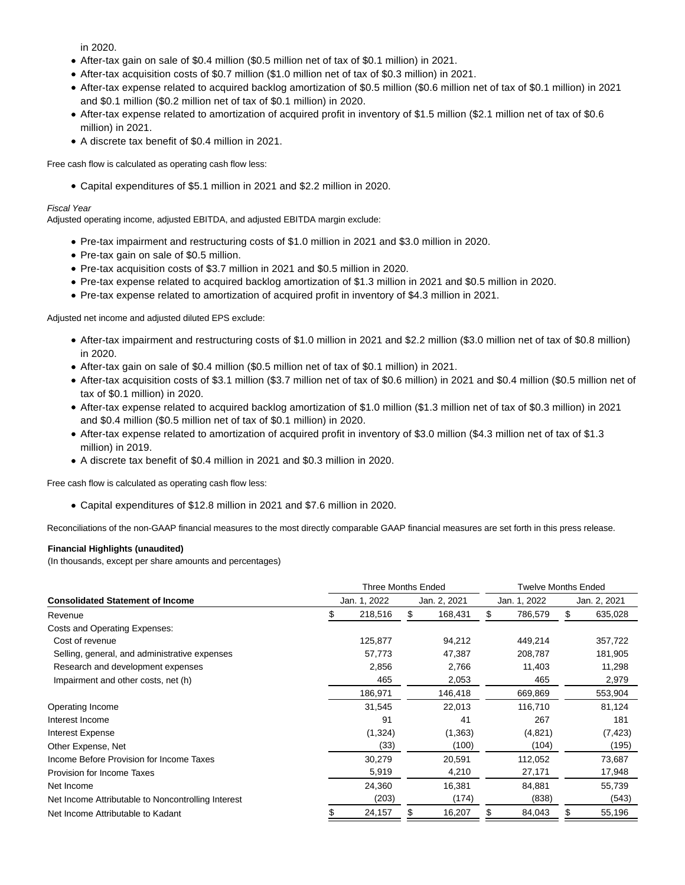in 2020.

- After-tax gain on sale of \$0.4 million (\$0.5 million net of tax of \$0.1 million) in 2021.
- After-tax acquisition costs of \$0.7 million (\$1.0 million net of tax of \$0.3 million) in 2021.
- After-tax expense related to acquired backlog amortization of \$0.5 million (\$0.6 million net of tax of \$0.1 million) in 2021 and \$0.1 million (\$0.2 million net of tax of \$0.1 million) in 2020.
- After-tax expense related to amortization of acquired profit in inventory of \$1.5 million (\$2.1 million net of tax of \$0.6 million) in 2021.
- A discrete tax benefit of \$0.4 million in 2021.

Free cash flow is calculated as operating cash flow less:

Capital expenditures of \$5.1 million in 2021 and \$2.2 million in 2020.

### Fiscal Year

Adjusted operating income, adjusted EBITDA, and adjusted EBITDA margin exclude:

- Pre-tax impairment and restructuring costs of \$1.0 million in 2021 and \$3.0 million in 2020.
- Pre-tax gain on sale of \$0.5 million.
- Pre-tax acquisition costs of \$3.7 million in 2021 and \$0.5 million in 2020.
- Pre-tax expense related to acquired backlog amortization of \$1.3 million in 2021 and \$0.5 million in 2020.
- Pre-tax expense related to amortization of acquired profit in inventory of \$4.3 million in 2021.

Adjusted net income and adjusted diluted EPS exclude:

- After-tax impairment and restructuring costs of \$1.0 million in 2021 and \$2.2 million (\$3.0 million net of tax of \$0.8 million) in 2020.
- After-tax gain on sale of \$0.4 million (\$0.5 million net of tax of \$0.1 million) in 2021.
- After-tax acquisition costs of \$3.1 million (\$3.7 million net of tax of \$0.6 million) in 2021 and \$0.4 million (\$0.5 million net of tax of \$0.1 million) in 2020.
- After-tax expense related to acquired backlog amortization of \$1.0 million (\$1.3 million net of tax of \$0.3 million) in 2021 and \$0.4 million (\$0.5 million net of tax of \$0.1 million) in 2020.
- After-tax expense related to amortization of acquired profit in inventory of \$3.0 million (\$4.3 million net of tax of \$1.3 million) in 2019.
- A discrete tax benefit of \$0.4 million in 2021 and \$0.3 million in 2020.

Free cash flow is calculated as operating cash flow less:

Capital expenditures of \$12.8 million in 2021 and \$7.6 million in 2020.

Reconciliations of the non-GAAP financial measures to the most directly comparable GAAP financial measures are set forth in this press release.

# **Financial Highlights (unaudited)**

(In thousands, except per share amounts and percentages)

|                                                    | Three Months Ended |         |     |              |    | <b>Twelve Months Ended</b> |    |              |  |
|----------------------------------------------------|--------------------|---------|-----|--------------|----|----------------------------|----|--------------|--|
| <b>Consolidated Statement of Income</b>            | Jan. 1, 2022       |         |     | Jan. 2, 2021 |    | Jan. 1, 2022               |    | Jan. 2, 2021 |  |
| Revenue                                            |                    | 218,516 | \$. | 168,431      | \$ | 786,579                    | \$ | 635,028      |  |
| Costs and Operating Expenses:                      |                    |         |     |              |    |                            |    |              |  |
| Cost of revenue                                    |                    | 125,877 |     | 94,212       |    | 449,214                    |    | 357,722      |  |
| Selling, general, and administrative expenses      |                    | 57,773  |     | 47,387       |    | 208,787                    |    | 181,905      |  |
| Research and development expenses                  |                    | 2,856   |     | 2,766        |    | 11,403                     |    | 11,298       |  |
| Impairment and other costs, net (h)                |                    | 465     |     | 2,053        |    | 465                        |    | 2,979        |  |
|                                                    |                    | 186,971 |     | 146,418      |    | 669,869                    |    | 553,904      |  |
| Operating Income                                   |                    | 31,545  |     | 22,013       |    | 116,710                    |    | 81,124       |  |
| Interest Income                                    |                    | 91      |     | 41           |    | 267                        |    | 181          |  |
| Interest Expense                                   |                    | (1,324) |     | (1, 363)     |    | (4,821)                    |    | (7, 423)     |  |
| Other Expense, Net                                 |                    | (33)    |     | (100)        |    | (104)                      |    | (195)        |  |
| Income Before Provision for Income Taxes           |                    | 30,279  |     | 20,591       |    | 112,052                    |    | 73,687       |  |
| Provision for Income Taxes                         |                    | 5,919   |     | 4,210        |    | 27,171                     |    | 17,948       |  |
| Net Income                                         |                    | 24,360  |     | 16,381       |    | 84,881                     |    | 55,739       |  |
| Net Income Attributable to Noncontrolling Interest |                    | (203)   |     | (174)        |    | (838)                      |    | (543)        |  |
| Net Income Attributable to Kadant                  |                    | 24,157  | SS. | 16,207       | S  | 84,043                     | \$ | 55,196       |  |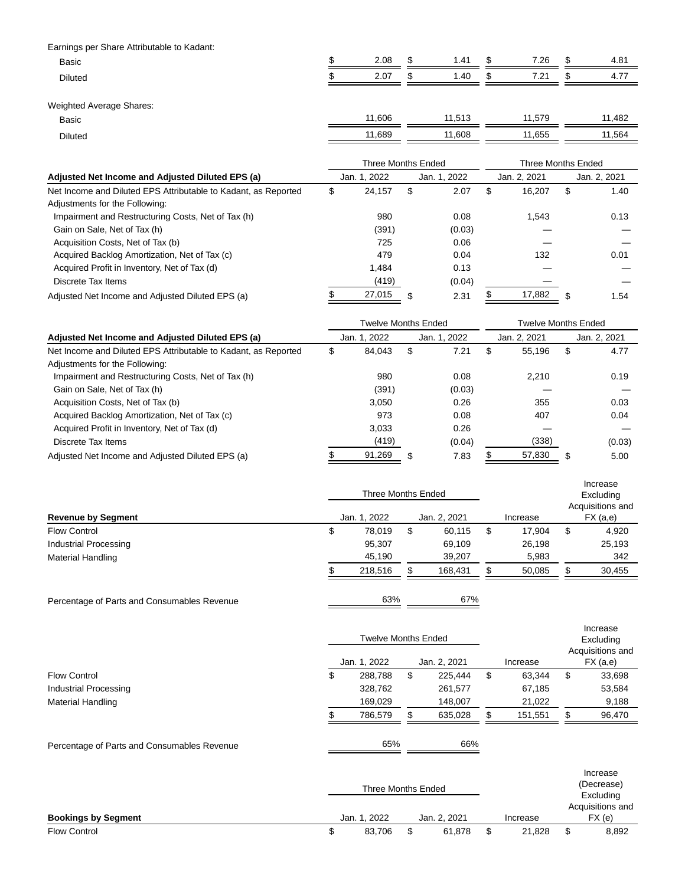Earnings per Share Attributable to Kadant:

| __<br><b>Basic</b><br>. | 2.08 | -11  | 1.41 | ۰D  | 7.26 | AD. | $\Omega$<br>┄      |
|-------------------------|------|------|------|-----|------|-----|--------------------|
| <b>Diluted</b><br>.     | 2.07 | - AD | .40  | AD. | 7.21 | ۰D  | $\rightarrow$<br>. |
|                         |      |      |      |     |      |     |                    |

Weighted Average Shares:

| vvelynteu Average Oriales. |        |        |        |        |
|----------------------------|--------|--------|--------|--------|
| <b>Basic</b>               | 1.606  | 1.513  | 1.579  | 11,482 |
| Diluted                    | 11,689 | 11.608 | 11,655 | 11,564 |
|                            |        |        |        |        |

|                                                                | Three Months Ended |        |              |        |              | Three Months Ended |    |              |  |
|----------------------------------------------------------------|--------------------|--------|--------------|--------|--------------|--------------------|----|--------------|--|
| Adjusted Net Income and Adjusted Diluted EPS (a)               | Jan. 1, 2022       |        | Jan. 1, 2022 |        | Jan. 2, 2021 |                    |    | Jan. 2, 2021 |  |
| Net Income and Diluted EPS Attributable to Kadant, as Reported | \$                 | 24.157 | \$           | 2.07   | \$           | 16,207             | \$ | 1.40         |  |
| Adjustments for the Following:                                 |                    |        |              |        |              |                    |    |              |  |
| Impairment and Restructuring Costs, Net of Tax (h)             |                    | 980    |              | 0.08   |              | 1.543              |    | 0.13         |  |
| Gain on Sale, Net of Tax (h)                                   |                    | (391)  |              | (0.03) |              |                    |    |              |  |
| Acquisition Costs, Net of Tax (b)                              |                    | 725    |              | 0.06   |              |                    |    |              |  |
| Acquired Backlog Amortization, Net of Tax (c)                  |                    | 479    |              | 0.04   |              | 132                |    | 0.01         |  |
| Acquired Profit in Inventory, Net of Tax (d)                   |                    | 1.484  |              | 0.13   |              |                    |    |              |  |
| Discrete Tax Items                                             |                    | (419)  |              | (0.04) |              |                    |    |              |  |
| Adjusted Net Income and Adjusted Diluted EPS (a)               |                    | 27,015 | \$           | 2.31   | Ъ            | 17.882             | \$ | 1.54         |  |

|                                                                | <b>Twelve Months Ended</b> |        |              |        |              | <b>Twelve Months Ended</b> |    |              |  |
|----------------------------------------------------------------|----------------------------|--------|--------------|--------|--------------|----------------------------|----|--------------|--|
| Adjusted Net Income and Adjusted Diluted EPS (a)               | Jan. 1, 2022               |        | Jan. 1. 2022 |        | Jan. 2. 2021 |                            |    | Jan. 2, 2021 |  |
| Net Income and Diluted EPS Attributable to Kadant, as Reported | \$                         | 84,043 | \$           | 7.21   | \$           | 55.196                     | \$ | 4.77         |  |
| Adjustments for the Following:                                 |                            |        |              |        |              |                            |    |              |  |
| Impairment and Restructuring Costs, Net of Tax (h)             |                            | 980    |              | 0.08   |              | 2.210                      |    | 0.19         |  |
| Gain on Sale, Net of Tax (h)                                   |                            | (391)  |              | (0.03) |              |                            |    |              |  |
| Acquisition Costs, Net of Tax (b)                              |                            | 3.050  |              | 0.26   |              | 355                        |    | 0.03         |  |
| Acquired Backlog Amortization, Net of Tax (c)                  |                            | 973    |              | 0.08   |              | 407                        |    | 0.04         |  |
| Acquired Profit in Inventory, Net of Tax (d)                   |                            | 3.033  |              | 0.26   |              |                            |    |              |  |
| Discrete Tax Items                                             |                            | (419)  |              | (0.04) |              | (338)                      |    | (0.03)       |  |
| Adjusted Net Income and Adjusted Diluted EPS (a)               |                            | 91,269 | \$           | 7.83   |              | 57,830                     | \$ | 5.00         |  |

|                           |   | Three Months Ended | Increase<br>Excluding<br>Acquisitions and |              |    |          |          |        |
|---------------------------|---|--------------------|-------------------------------------------|--------------|----|----------|----------|--------|
| <b>Revenue by Segment</b> |   | Jan. 1, 2022       |                                           | Jan. 2, 2021 |    | Increase | FX (a,e) |        |
| <b>Flow Control</b>       | Φ | 78.019             | \$                                        | 60,115       | \$ | 17.904   | \$       | 4,920  |
| Industrial Processing     |   | 95,307             |                                           | 69,109       |    | 26,198   |          | 25,193 |
| <b>Material Handling</b>  |   | 45,190             |                                           | 39,207       |    | 5,983    |          | 342    |
|                           |   | 218.516            | œ                                         | 168,431      | \$ | 50,085   |          | 30,455 |
|                           |   |                    |                                           |              |    |          |          |        |

Percentage of Parts and Consumables Revenue **63%** 67%

|                          |   | <b>Twelve Months Ended</b> |    |              |     |          |    | Increase<br>Excluding<br>Acquisitions and |  |
|--------------------------|---|----------------------------|----|--------------|-----|----------|----|-------------------------------------------|--|
|                          |   | Jan. 1, 2022               |    | Jan. 2, 2021 |     | Increase |    | FX (a,e)                                  |  |
| <b>Flow Control</b>      | S | 288,788                    | \$ | 225.444      | \$  | 63,344   | \$ | 33,698                                    |  |
| Industrial Processing    |   | 328,762                    |    | 261,577      |     | 67,185   |    | 53,584                                    |  |
| <b>Material Handling</b> |   | 169,029                    |    | 148,007      |     | 21,022   |    | 9,188                                     |  |
|                          |   | 786,579                    | ß. | 635,028      | \$. | 151,551  | S  | 96,470                                    |  |
|                          |   |                            |    |              |     |          |    |                                           |  |

Percentage of Parts and Consumables Revenue **65%** 66%

|                            |  |                  | Increase<br>(Decrease)<br>Excluding |          |                           |
|----------------------------|--|------------------|-------------------------------------|----------|---------------------------|
| <b>Bookings by Segment</b> |  | . 2022<br>Jan. 1 | Jan. 2. 2021                        | Increase | Acquisitions and<br>FX(e) |
| <b>Flow Control</b>        |  | 83.706           | 61.878                              | 21,828   | \$<br>8,892               |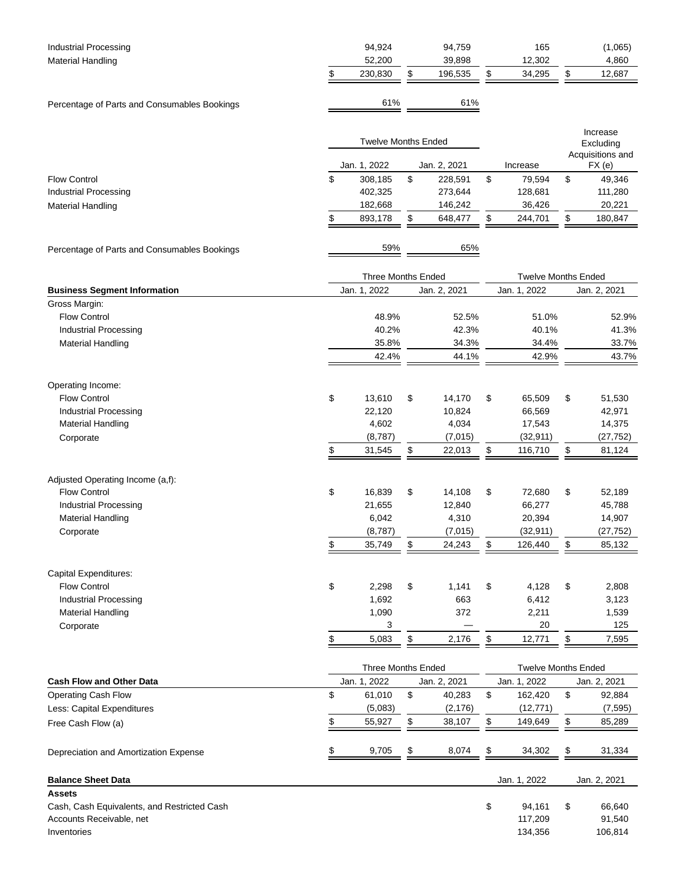| <b>Industrial Processing</b><br><b>Material Handling</b>                |                           | 94,924<br>52,200           |    | 94,759<br>39,898   | 165<br>12,302              |    | (1,065)<br>4,860      |
|-------------------------------------------------------------------------|---------------------------|----------------------------|----|--------------------|----------------------------|----|-----------------------|
|                                                                         | \$                        | 230,830                    | \$ | 196,535            | \$<br>34,295               | \$ | 12,687                |
|                                                                         |                           |                            |    |                    |                            |    |                       |
| Percentage of Parts and Consumables Bookings                            |                           | 61%                        |    | 61%                |                            |    |                       |
|                                                                         |                           |                            |    |                    |                            |    |                       |
|                                                                         |                           | <b>Twelve Months Ended</b> |    |                    |                            |    | Increase<br>Excluding |
|                                                                         |                           |                            |    |                    | Acquisitions and           |    |                       |
|                                                                         |                           | Jan. 1, 2022               |    | Jan. 2, 2021       | Increase                   |    | FX(e)                 |
| <b>Flow Control</b>                                                     | \$                        | 308,185                    | \$ | 228,591            | \$<br>79,594               | \$ | 49,346                |
| <b>Industrial Processing</b>                                            |                           | 402,325                    |    | 273,644            | 128,681                    |    | 111,280               |
| <b>Material Handling</b>                                                | \$                        | 182,668<br>893,178         | \$ | 146,242<br>648,477 | \$<br>36,426<br>244,701    | \$ | 20,221<br>180,847     |
|                                                                         |                           |                            |    |                    |                            |    |                       |
| Percentage of Parts and Consumables Bookings                            |                           | 59%                        |    | 65%                |                            |    |                       |
|                                                                         |                           |                            |    |                    |                            |    |                       |
|                                                                         | <b>Three Months Ended</b> |                            |    |                    | <b>Twelve Months Ended</b> |    |                       |
| <b>Business Segment Information</b><br>Gross Margin:                    |                           | Jan. 1, 2022               |    | Jan. 2, 2021       | Jan. 1, 2022               |    | Jan. 2, 2021          |
| <b>Flow Control</b>                                                     |                           | 48.9%                      |    | 52.5%              | 51.0%                      |    | 52.9%                 |
| <b>Industrial Processing</b>                                            |                           | 40.2%                      |    | 42.3%              | 40.1%                      |    | 41.3%                 |
| <b>Material Handling</b>                                                |                           | 35.8%                      |    | 34.3%              | 34.4%                      |    | 33.7%                 |
|                                                                         |                           | 42.4%                      |    | 44.1%              | 42.9%                      |    | 43.7%                 |
|                                                                         |                           |                            |    |                    |                            |    |                       |
| Operating Income:                                                       |                           |                            |    |                    |                            |    |                       |
| <b>Flow Control</b>                                                     | \$                        | 13,610                     | \$ | 14,170             | \$<br>65,509               | \$ | 51,530                |
| <b>Industrial Processing</b><br><b>Material Handling</b>                |                           | 22,120<br>4,602            |    | 10,824<br>4,034    | 66,569<br>17,543           |    | 42,971<br>14,375      |
| Corporate                                                               |                           | (8,787)                    |    | (7,015)            | (32, 911)                  |    | (27, 752)             |
|                                                                         | \$                        | 31,545                     | \$ | 22,013             | \$<br>116,710              | \$ | 81,124                |
|                                                                         |                           |                            |    |                    |                            |    |                       |
| Adjusted Operating Income (a,f):                                        |                           |                            |    |                    |                            |    |                       |
| <b>Flow Control</b>                                                     | \$                        | 16,839                     | \$ | 14,108             | \$<br>72,680               | \$ | 52,189                |
| <b>Industrial Processing</b>                                            |                           | 21,655                     |    | 12,840             | 66,277                     |    | 45,788                |
| <b>Material Handling</b>                                                |                           | 6,042                      |    | 4,310              | 20,394                     |    | 14,907                |
| Corporate                                                               |                           | (8,787)                    |    | (7,015)            | (32, 911)<br>126,440       |    | (27, 752)             |
|                                                                         | $\frac{1}{2}$             | 35,749                     | \$ | 24,243             | \$                         | \$ | 85,132                |
| Capital Expenditures:                                                   |                           |                            |    |                    |                            |    |                       |
| <b>Flow Control</b>                                                     | \$                        | 2,298                      | \$ | 1,141              | \$<br>4,128                | \$ | 2,808                 |
| <b>Industrial Processing</b>                                            |                           | 1,692                      |    | 663                | 6,412                      |    | 3,123                 |
| <b>Material Handling</b>                                                |                           | 1,090                      |    | 372                | 2,211                      |    | 1,539                 |
| Corporate                                                               |                           | 3                          |    |                    | 20                         |    | 125                   |
|                                                                         | \$                        | 5,083                      | \$ | 2,176              | \$<br>12,771               | \$ | 7,595                 |
|                                                                         |                           | <b>Three Months Ended</b>  |    |                    | <b>Twelve Months Ended</b> |    |                       |
| <b>Cash Flow and Other Data</b>                                         |                           | Jan. 1, 2022               |    | Jan. 2, 2021       | Jan. 1, 2022               |    | Jan. 2, 2021          |
| <b>Operating Cash Flow</b>                                              | \$                        | 61,010                     | \$ | 40,283             | \$<br>162,420              | \$ | 92,884                |
| Less: Capital Expenditures                                              |                           | (5,083)                    |    | (2, 176)           | (12, 771)                  |    | (7, 595)              |
| Free Cash Flow (a)                                                      | \$                        | 55,927                     | \$ | 38,107             | \$<br>149,649              | \$ | 85,289                |
| Depreciation and Amortization Expense                                   | \$                        | 9,705                      | \$ | 8,074              | \$<br>34,302               | \$ | 31,334                |
|                                                                         |                           |                            |    |                    |                            |    |                       |
| <b>Balance Sheet Data</b>                                               |                           |                            |    |                    | Jan. 1, 2022               |    | Jan. 2, 2021          |
| <b>Assets</b>                                                           |                           |                            |    |                    |                            |    |                       |
| Cash, Cash Equivalents, and Restricted Cash<br>Accounts Receivable, net |                           |                            |    |                    | \$<br>94,161<br>117,209    | \$ | 66,640<br>91,540      |
| Inventories                                                             |                           |                            |    |                    | 134,356                    |    | 106,814               |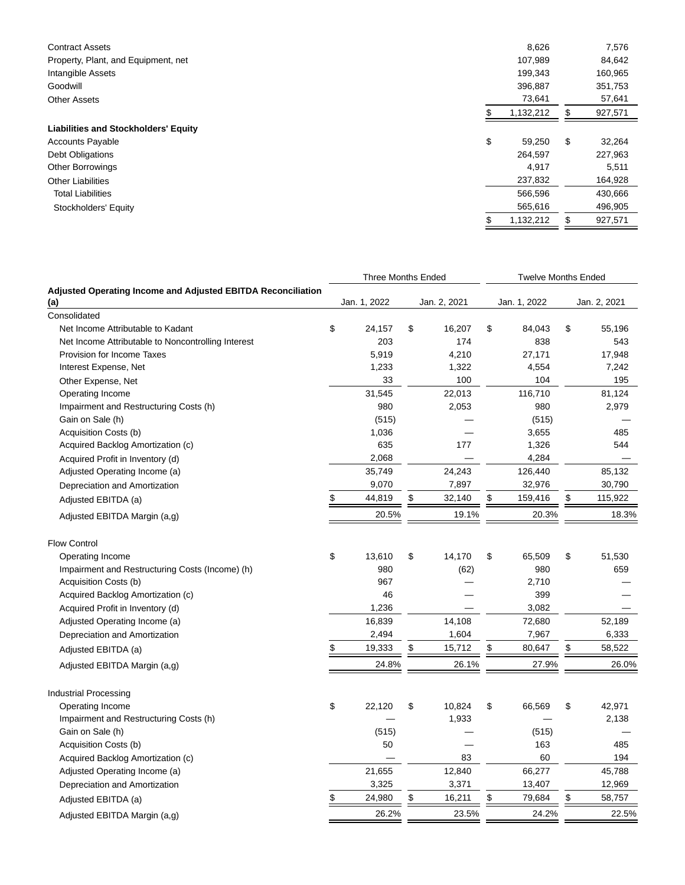| <b>Contract Assets</b>                      | 8,626     | 7,576         |
|---------------------------------------------|-----------|---------------|
| Property, Plant, and Equipment, net         | 107,989   | 84,642        |
| Intangible Assets                           | 199,343   | 160,965       |
| Goodwill                                    | 396,887   | 351,753       |
| <b>Other Assets</b>                         | 73,641    | 57,641        |
|                                             | 1,132,212 | \$<br>927,571 |
| <b>Liabilities and Stockholders' Equity</b> |           |               |
| \$<br><b>Accounts Payable</b>               | 59,250    | \$<br>32,264  |
| <b>Debt Obligations</b>                     | 264,597   | 227,963       |
| <b>Other Borrowings</b>                     | 4,917     | 5,511         |
| <b>Other Liabilities</b>                    | 237,832   | 164,928       |
| <b>Total Liabilities</b>                    | 566,596   | 430,666       |
| Stockholders' Equity                        | 565,616   | 496,905       |
|                                             | 1,132,212 | \$<br>927,571 |

|                                                                     | <b>Three Months Ended</b> |              | <b>Twelve Months Ended</b> |               |
|---------------------------------------------------------------------|---------------------------|--------------|----------------------------|---------------|
| <b>Adjusted Operating Income and Adjusted EBITDA Reconciliation</b> |                           |              |                            |               |
| (a)                                                                 | Jan. 1, 2022              | Jan. 2, 2021 | Jan. 1, 2022               | Jan. 2, 2021  |
| Consolidated                                                        |                           |              |                            |               |
| Net Income Attributable to Kadant                                   | \$<br>24,157              | \$<br>16,207 | \$<br>84,043               | \$<br>55,196  |
| Net Income Attributable to Noncontrolling Interest                  | 203                       | 174          | 838                        | 543           |
| Provision for Income Taxes                                          | 5,919                     | 4,210        | 27,171                     | 17,948        |
| Interest Expense, Net                                               | 1,233                     | 1,322        | 4,554                      | 7,242         |
| Other Expense, Net                                                  | 33                        | 100          | 104                        | 195           |
| Operating Income                                                    | 31,545                    | 22,013       | 116,710                    | 81,124        |
| Impairment and Restructuring Costs (h)                              | 980                       | 2,053        | 980                        | 2,979         |
| Gain on Sale (h)<br>Acquisition Costs (b)                           | (515)<br>1,036            |              | (515)<br>3,655             | 485           |
|                                                                     | 635                       | 177          | 1,326                      | 544           |
| Acquired Backlog Amortization (c)                                   | 2,068                     |              | 4,284                      |               |
| Acquired Profit in Inventory (d)                                    |                           | 24,243       | 126,440                    | 85,132        |
| Adjusted Operating Income (a)                                       | 35,749<br>9,070           | 7,897        | 32,976                     | 30,790        |
| Depreciation and Amortization                                       | \$<br>44,819              | \$<br>32,140 | \$<br>159,416              | \$<br>115,922 |
| Adjusted EBITDA (a)                                                 | 20.5%                     | 19.1%        | 20.3%                      | 18.3%         |
| Adjusted EBITDA Margin (a,g)                                        |                           |              |                            |               |
| <b>Flow Control</b>                                                 |                           |              |                            |               |
| Operating Income                                                    | \$<br>13,610              | \$<br>14,170 | \$<br>65,509               | \$<br>51,530  |
| Impairment and Restructuring Costs (Income) (h)                     | 980                       | (62)         | 980                        | 659           |
| Acquisition Costs (b)                                               | 967                       |              | 2,710                      |               |
| Acquired Backlog Amortization (c)                                   | 46                        |              | 399                        |               |
| Acquired Profit in Inventory (d)                                    | 1,236                     |              | 3,082                      |               |
| Adjusted Operating Income (a)                                       | 16,839                    | 14,108       | 72,680                     | 52,189        |
| Depreciation and Amortization                                       | 2,494                     | 1,604        | 7,967                      | 6,333         |
| Adjusted EBITDA (a)                                                 | \$<br>19,333              | \$<br>15,712 | \$<br>80,647               | \$<br>58,522  |
| Adjusted EBITDA Margin (a,g)                                        | 24.8%                     | 26.1%        | 27.9%                      | 26.0%         |
| <b>Industrial Processing</b>                                        |                           |              |                            |               |
| Operating Income                                                    | \$<br>22,120              | \$<br>10,824 | \$<br>66,569               | \$<br>42,971  |
| Impairment and Restructuring Costs (h)                              |                           | 1,933        |                            | 2,138         |
| Gain on Sale (h)                                                    | (515)                     |              | (515)                      |               |
| Acquisition Costs (b)                                               | 50                        |              | 163                        | 485           |
| Acquired Backlog Amortization (c)                                   |                           | 83           | 60                         | 194           |
| Adjusted Operating Income (a)                                       | 21,655                    | 12,840       | 66,277                     | 45,788        |
| Depreciation and Amortization                                       | 3,325                     | 3,371        | 13,407                     | 12,969        |
| Adjusted EBITDA (a)                                                 | \$<br>24,980              | \$<br>16,211 | \$<br>79,684               | \$<br>58,757  |
| Adjusted EBITDA Margin (a,g)                                        | 26.2%                     | 23.5%        | 24.2%                      | 22.5%         |
|                                                                     |                           |              |                            |               |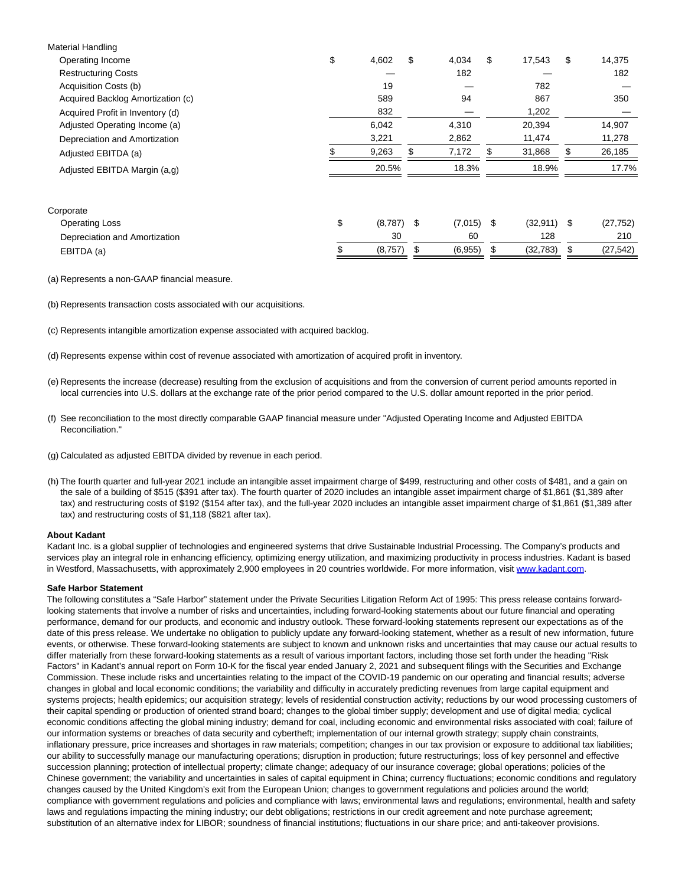| <b>Material Handling</b>          |                    |             |     |               |                 |
|-----------------------------------|--------------------|-------------|-----|---------------|-----------------|
| Operating Income                  | \$<br>4,602        | \$<br>4,034 | \$  | 17,543        | \$<br>14,375    |
| <b>Restructuring Costs</b>        |                    | 182         |     |               | 182             |
| Acquisition Costs (b)             | 19                 |             |     | 782           |                 |
| Acquired Backlog Amortization (c) | 589                | 94          |     | 867           | 350             |
| Acquired Profit in Inventory (d)  | 832                |             |     | 1,202         |                 |
| Adjusted Operating Income (a)     | 6,042              | 4,310       |     | 20,394        | 14,907          |
| Depreciation and Amortization     | 3,221              | 2,862       |     | 11,474        | 11,278          |
| Adjusted EBITDA (a)               | 9,263              | \$<br>7,172 | \$  | 31,868        | \$<br>26,185    |
| Adjusted EBITDA Margin (a,g)      | 20.5%              | 18.3%       |     | 18.9%         | 17.7%           |
| Corporate                         |                    |             |     |               |                 |
| <b>Operating Loss</b>             | \$<br>$(8,787)$ \$ | (7,015)     | -\$ | $(32,911)$ \$ | (27, 752)       |
| Depreciation and Amortization     | 30                 | 60          |     | 128           | 210             |
| EBITDA (a)                        | (8,757)            | (6,955)     |     | (32, 783)     | \$<br>(27, 542) |
|                                   |                    |             |     |               |                 |

(a) Represents a non-GAAP financial measure.

(b) Represents transaction costs associated with our acquisitions.

(c) Represents intangible amortization expense associated with acquired backlog.

- (d) Represents expense within cost of revenue associated with amortization of acquired profit in inventory.
- (e) Represents the increase (decrease) resulting from the exclusion of acquisitions and from the conversion of current period amounts reported in local currencies into U.S. dollars at the exchange rate of the prior period compared to the U.S. dollar amount reported in the prior period.
- (f) See reconciliation to the most directly comparable GAAP financial measure under "Adjusted Operating Income and Adjusted EBITDA Reconciliation."
- (g) Calculated as adjusted EBITDA divided by revenue in each period.
- (h) The fourth quarter and full-year 2021 include an intangible asset impairment charge of \$499, restructuring and other costs of \$481, and a gain on the sale of a building of \$515 (\$391 after tax). The fourth quarter of 2020 includes an intangible asset impairment charge of \$1,861 (\$1,389 after tax) and restructuring costs of \$192 (\$154 after tax), and the full-year 2020 includes an intangible asset impairment charge of \$1,861 (\$1,389 after tax) and restructuring costs of \$1,118 (\$821 after tax).

#### **About Kadant**

Kadant Inc. is a global supplier of technologies and engineered systems that drive Sustainable Industrial Processing. The Company's products and services play an integral role in enhancing efficiency, optimizing energy utilization, and maximizing productivity in process industries. Kadant is based in Westford, Massachusetts, with approximately 2,900 employees in 20 countries worldwide. For more information, visit www.kadant.com.

#### **Safe Harbor Statement**

The following constitutes a "Safe Harbor" statement under the Private Securities Litigation Reform Act of 1995: This press release contains forwardlooking statements that involve a number of risks and uncertainties, including forward-looking statements about our future financial and operating performance, demand for our products, and economic and industry outlook. These forward-looking statements represent our expectations as of the date of this press release. We undertake no obligation to publicly update any forward-looking statement, whether as a result of new information, future events, or otherwise. These forward-looking statements are subject to known and unknown risks and uncertainties that may cause our actual results to differ materially from these forward-looking statements as a result of various important factors, including those set forth under the heading "Risk Factors" in Kadant's annual report on Form 10-K for the fiscal year ended January 2, 2021 and subsequent filings with the Securities and Exchange Commission. These include risks and uncertainties relating to the impact of the COVID-19 pandemic on our operating and financial results; adverse changes in global and local economic conditions; the variability and difficulty in accurately predicting revenues from large capital equipment and systems projects; health epidemics; our acquisition strategy; levels of residential construction activity; reductions by our wood processing customers of their capital spending or production of oriented strand board; changes to the global timber supply; development and use of digital media; cyclical economic conditions affecting the global mining industry; demand for coal, including economic and environmental risks associated with coal; failure of our information systems or breaches of data security and cybertheft; implementation of our internal growth strategy; supply chain constraints, inflationary pressure, price increases and shortages in raw materials; competition; changes in our tax provision or exposure to additional tax liabilities; our ability to successfully manage our manufacturing operations; disruption in production; future restructurings; loss of key personnel and effective succession planning; protection of intellectual property; climate change; adequacy of our insurance coverage; global operations; policies of the Chinese government; the variability and uncertainties in sales of capital equipment in China; currency fluctuations; economic conditions and regulatory changes caused by the United Kingdom's exit from the European Union; changes to government regulations and policies around the world; compliance with government regulations and policies and compliance with laws; environmental laws and regulations; environmental, health and safety laws and regulations impacting the mining industry; our debt obligations; restrictions in our credit agreement and note purchase agreement; substitution of an alternative index for LIBOR; soundness of financial institutions; fluctuations in our share price; and anti-takeover provisions.